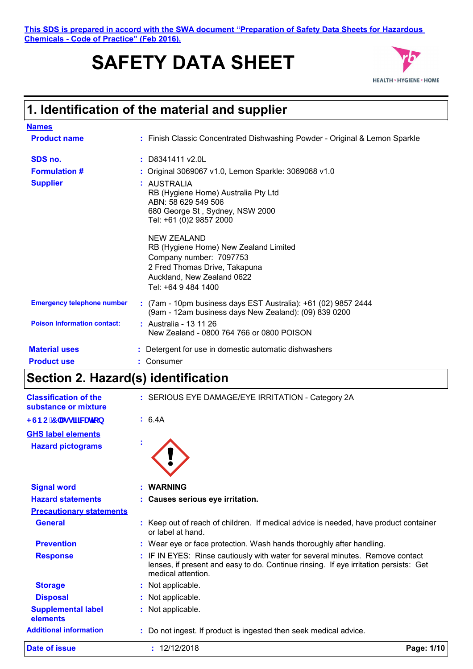**This SDS is prepared in accord with the SWA document "Preparation of Safety Data Sheets for Hazardous Chemicals - Code of Practice" (Feb 2016).**

# **SAFETY DATA SHEET**



# **1. Identification of the material and supplier**

| <b>Names</b>                       |                                                                                                                                                                              |
|------------------------------------|------------------------------------------------------------------------------------------------------------------------------------------------------------------------------|
| <b>Product name</b>                | : Finish Classic Concentrated Dishwashing Powder - Original & Lemon Sparkle                                                                                                  |
| SDS no.                            | $:$ D8341411 v2.0L                                                                                                                                                           |
| <b>Formulation #</b>               | : Original 3069067 v1.0, Lemon Sparkle: 3069068 v1.0                                                                                                                         |
| <b>Supplier</b>                    | : AUSTRALIA<br>RB (Hygiene Home) Australia Pty Ltd<br>ABN: 58 629 549 506<br>680 George St, Sydney, NSW 2000<br>Tel: +61 (0)2 9857 2000                                      |
|                                    | <b>NEW ZEALAND</b><br>RB (Hygiene Home) New Zealand Limited<br>Company number: 7097753<br>2 Fred Thomas Drive, Takapuna<br>Auckland, New Zealand 0622<br>Tel: +64 9 484 1400 |
| <b>Emergency telephone number</b>  | : (7am - 10pm business days EST Australia): +61 (02) 9857 2444<br>(9am - 12am business days New Zealand): (09) 839 0200                                                      |
| <b>Poison Information contact:</b> | : Australia - 13 11 26<br>New Zealand - 0800 764 766 or 0800 POISON                                                                                                          |
| <b>Material uses</b>               | : Detergent for use in domestic automatic dishwashers                                                                                                                        |
| <b>Product use</b>                 | : Consumer                                                                                                                                                                   |

### **Section 2. Hazard(s) identification**

| <b>Classification of the</b><br>substance or mixture |    | : SERIOUS EYE DAMAGE/EYE IRRITATION - Category 2A                                                                                                                                         |            |
|------------------------------------------------------|----|-------------------------------------------------------------------------------------------------------------------------------------------------------------------------------------------|------------|
| <gbc 7="" \ugg]<b="">ZWUrjcb</gbc>                   |    | : 6.4A                                                                                                                                                                                    |            |
| <b>GHS label elements</b>                            |    |                                                                                                                                                                                           |            |
| <b>Hazard pictograms</b>                             |    |                                                                                                                                                                                           |            |
|                                                      |    |                                                                                                                                                                                           |            |
|                                                      |    |                                                                                                                                                                                           |            |
| <b>Signal word</b>                                   |    | <b>WARNING</b>                                                                                                                                                                            |            |
| <b>Hazard statements</b>                             |    | : Causes serious eye irritation.                                                                                                                                                          |            |
| <b>Precautionary statements</b>                      |    |                                                                                                                                                                                           |            |
| <b>General</b>                                       | t. | Keep out of reach of children. If medical advice is needed, have product container<br>or label at hand.                                                                                   |            |
| <b>Prevention</b>                                    |    | : Wear eye or face protection. Wash hands thoroughly after handling.                                                                                                                      |            |
| <b>Response</b>                                      |    | IF IN EYES: Rinse cautiously with water for several minutes. Remove contact<br>lenses, if present and easy to do. Continue rinsing. If eye irritation persists: Get<br>medical attention. |            |
| <b>Storage</b>                                       |    | : Not applicable.                                                                                                                                                                         |            |
| <b>Disposal</b>                                      |    | Not applicable.                                                                                                                                                                           |            |
| <b>Supplemental label</b><br>elements                |    | Not applicable.                                                                                                                                                                           |            |
| <b>Additional information</b>                        |    | : Do not ingest. If product is ingested then seek medical advice.                                                                                                                         |            |
| Date of issue                                        |    | : 12/12/2018                                                                                                                                                                              | Page: 1/10 |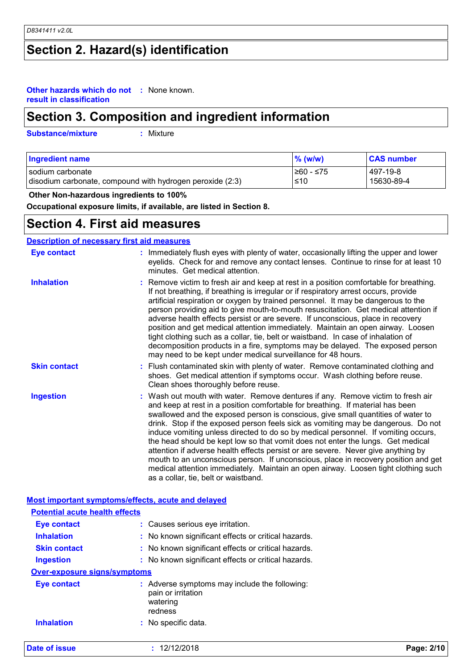# **Section 2. Hazard(s) identification**

#### **Other hazards which do not :** None known. **result in classification**

## **Section 3. Composition and ingredient information**

**Substance/mixture :**

: Mixture

| <b>Ingredient name</b>                                                                                     | $\%$ (w/w) | <b>CAS number</b>      |
|------------------------------------------------------------------------------------------------------------|------------|------------------------|
| 1≥60 - ≤75<br>l sodium carbonate<br>$\leq 10$<br>disodium carbonate, compound with hydrogen peroxide (2:3) |            | 497-19-8<br>15630-89-4 |

 **Other Non-hazardous ingredients to 100%**

**Occupational exposure limits, if available, are listed in Section 8.**

### **Section 4. First aid measures**

### **Description of necessary first aid measures**

| <b>Eye contact</b>  | : Immediately flush eyes with plenty of water, occasionally lifting the upper and lower<br>eyelids. Check for and remove any contact lenses. Continue to rinse for at least 10<br>minutes. Get medical attention.                                                                                                                                                                                                                                                                                                                                                                                                                                                                                                                                                                                                            |
|---------------------|------------------------------------------------------------------------------------------------------------------------------------------------------------------------------------------------------------------------------------------------------------------------------------------------------------------------------------------------------------------------------------------------------------------------------------------------------------------------------------------------------------------------------------------------------------------------------------------------------------------------------------------------------------------------------------------------------------------------------------------------------------------------------------------------------------------------------|
| <b>Inhalation</b>   | : Remove victim to fresh air and keep at rest in a position comfortable for breathing.<br>If not breathing, if breathing is irregular or if respiratory arrest occurs, provide<br>artificial respiration or oxygen by trained personnel. It may be dangerous to the<br>person providing aid to give mouth-to-mouth resuscitation. Get medical attention if<br>adverse health effects persist or are severe. If unconscious, place in recovery<br>position and get medical attention immediately. Maintain an open airway. Loosen<br>tight clothing such as a collar, tie, belt or waistband. In case of inhalation of<br>decomposition products in a fire, symptoms may be delayed. The exposed person<br>may need to be kept under medical surveillance for 48 hours.                                                       |
| <b>Skin contact</b> | : Flush contaminated skin with plenty of water. Remove contaminated clothing and<br>shoes. Get medical attention if symptoms occur. Wash clothing before reuse.<br>Clean shoes thoroughly before reuse.                                                                                                                                                                                                                                                                                                                                                                                                                                                                                                                                                                                                                      |
| <b>Ingestion</b>    | : Wash out mouth with water. Remove dentures if any. Remove victim to fresh air<br>and keep at rest in a position comfortable for breathing. If material has been<br>swallowed and the exposed person is conscious, give small quantities of water to<br>drink. Stop if the exposed person feels sick as vomiting may be dangerous. Do not<br>induce vomiting unless directed to do so by medical personnel. If vomiting occurs,<br>the head should be kept low so that vomit does not enter the lungs. Get medical<br>attention if adverse health effects persist or are severe. Never give anything by<br>mouth to an unconscious person. If unconscious, place in recovery position and get<br>medical attention immediately. Maintain an open airway. Loosen tight clothing such<br>as a collar, tie, belt or waistband. |

| <b>Date of issue</b>                  | : 12/12/2018                                                                               | Page: 2/10 |
|---------------------------------------|--------------------------------------------------------------------------------------------|------------|
| <b>Inhalation</b>                     | : No specific data.                                                                        |            |
| <b>Eye contact</b>                    | : Adverse symptoms may include the following:<br>pain or irritation<br>watering<br>redness |            |
| <b>Over-exposure signs/symptoms</b>   |                                                                                            |            |
| <b>Ingestion</b>                      | : No known significant effects or critical hazards.                                        |            |
| <b>Skin contact</b>                   | : No known significant effects or critical hazards.                                        |            |
| <b>Inhalation</b>                     | : No known significant effects or critical hazards.                                        |            |
| <b>Eye contact</b>                    | : Causes serious eye irritation.                                                           |            |
| <b>Potential acute health effects</b> |                                                                                            |            |
|                                       | Most important symptoms/effects, acute and delayed                                         |            |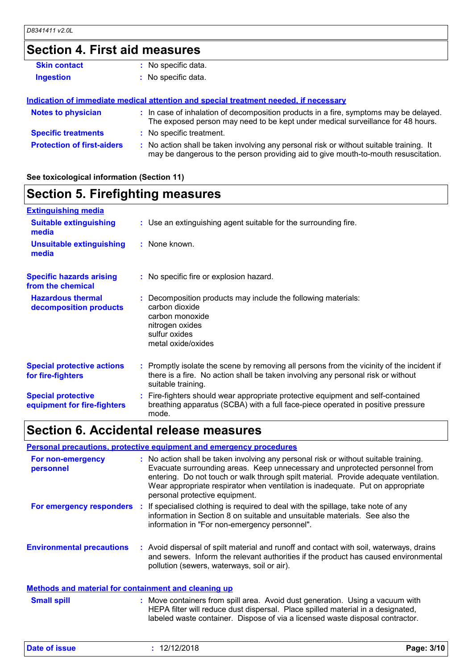# **Section 4. First aid measures**

| <b>Skin contact</b>               | : No specific data.                                                                                                                                                           |
|-----------------------------------|-------------------------------------------------------------------------------------------------------------------------------------------------------------------------------|
| <b>Ingestion</b>                  | : No specific data.                                                                                                                                                           |
|                                   |                                                                                                                                                                               |
|                                   | Indication of immediate medical attention and special treatment needed, if necessary                                                                                          |
| <b>Notes to physician</b>         | : In case of inhalation of decomposition products in a fire, symptoms may be delayed.<br>The exposed person may need to be kept under medical surveillance for 48 hours.      |
| <b>Specific treatments</b>        | : No specific treatment.                                                                                                                                                      |
| <b>Protection of first-aiders</b> | : No action shall be taken involving any personal risk or without suitable training. It<br>may be dangerous to the person providing aid to give mouth-to-mouth resuscitation. |

### **See toxicological information (Section 11)**

# **Section 5. Firefighting measures**

| <b>Extinguishing media</b>                               |                                                                                                                                                                                                     |
|----------------------------------------------------------|-----------------------------------------------------------------------------------------------------------------------------------------------------------------------------------------------------|
| <b>Suitable extinguishing</b><br>media                   | : Use an extinguishing agent suitable for the surrounding fire.                                                                                                                                     |
| <b>Unsuitable extinguishing</b><br>media                 | : None known.                                                                                                                                                                                       |
| <b>Specific hazards arising</b><br>from the chemical     | : No specific fire or explosion hazard.                                                                                                                                                             |
| <b>Hazardous thermal</b><br>decomposition products       | : Decomposition products may include the following materials:<br>carbon dioxide<br>carbon monoxide<br>nitrogen oxides<br>sulfur oxides<br>metal oxide/oxides                                        |
| <b>Special protective actions</b><br>for fire-fighters   | : Promptly isolate the scene by removing all persons from the vicinity of the incident if<br>there is a fire. No action shall be taken involving any personal risk or without<br>suitable training. |
| <b>Special protective</b><br>equipment for fire-fighters | : Fire-fighters should wear appropriate protective equipment and self-contained<br>breathing apparatus (SCBA) with a full face-piece operated in positive pressure<br>mode.                         |

## **Section 6. Accidental release measures**

### **Personal precautions, protective equipment and emergency procedures**

| For non-emergency<br>personnel                              | : No action shall be taken involving any personal risk or without suitable training.<br>Evacuate surrounding areas. Keep unnecessary and unprotected personnel from<br>entering. Do not touch or walk through spilt material. Provide adequate ventilation.<br>Wear appropriate respirator when ventilation is inadequate. Put on appropriate<br>personal protective equipment. |
|-------------------------------------------------------------|---------------------------------------------------------------------------------------------------------------------------------------------------------------------------------------------------------------------------------------------------------------------------------------------------------------------------------------------------------------------------------|
|                                                             | For emergency responders : If specialised clothing is required to deal with the spillage, take note of any<br>information in Section 8 on suitable and unsuitable materials. See also the<br>information in "For non-emergency personnel".                                                                                                                                      |
| <b>Environmental precautions</b>                            | : Avoid dispersal of spilt material and runoff and contact with soil, waterways, drains<br>and sewers. Inform the relevant authorities if the product has caused environmental<br>pollution (sewers, waterways, soil or air).                                                                                                                                                   |
| <b>Methods and material for containment and cleaning up</b> |                                                                                                                                                                                                                                                                                                                                                                                 |
| <b>Small spill</b>                                          | : Move containers from spill area. Avoid dust generation. Using a vacuum with<br>HEPA filter will reduce dust dispersal. Place spilled material in a designated,<br>labeled waste container. Dispose of via a licensed waste disposal contractor.                                                                                                                               |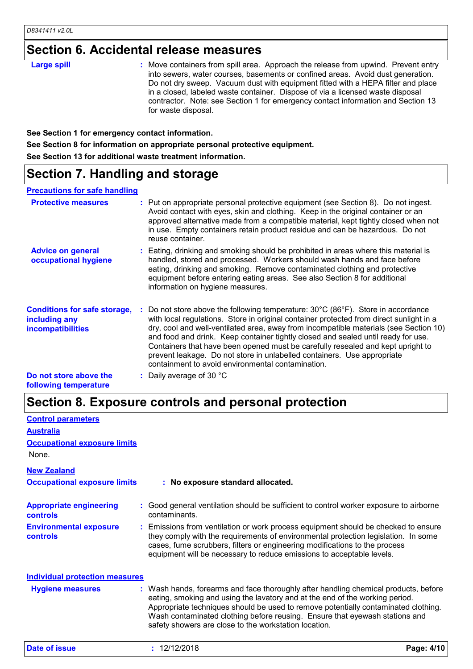# **Section 6. Accidental release measures**

| <b>Large spill</b> | : Move containers from spill area. Approach the release from upwind. Prevent entry<br>into sewers, water courses, basements or confined areas. Avoid dust generation.<br>Do not dry sweep. Vacuum dust with equipment fitted with a HEPA filter and place<br>in a closed, labeled waste container. Dispose of via a licensed waste disposal<br>contractor. Note: see Section 1 for emergency contact information and Section 13 |
|--------------------|---------------------------------------------------------------------------------------------------------------------------------------------------------------------------------------------------------------------------------------------------------------------------------------------------------------------------------------------------------------------------------------------------------------------------------|
|                    | for waste disposal.                                                                                                                                                                                                                                                                                                                                                                                                             |

**See Section 1 for emergency contact information.**

**See Section 8 for information on appropriate personal protective equipment.**

**See Section 13 for additional waste treatment information.**

# **Section 7. Handling and storage**

### **Precautions for safe handling**

| <b>Protective measures</b>                                                       | : Put on appropriate personal protective equipment (see Section 8). Do not ingest.<br>Avoid contact with eyes, skin and clothing. Keep in the original container or an<br>approved alternative made from a compatible material, kept tightly closed when not<br>in use. Empty containers retain product residue and can be hazardous. Do not<br>reuse container.                                                                                                                                                                                                                                |
|----------------------------------------------------------------------------------|-------------------------------------------------------------------------------------------------------------------------------------------------------------------------------------------------------------------------------------------------------------------------------------------------------------------------------------------------------------------------------------------------------------------------------------------------------------------------------------------------------------------------------------------------------------------------------------------------|
| <b>Advice on general</b><br>occupational hygiene                                 | : Eating, drinking and smoking should be prohibited in areas where this material is<br>handled, stored and processed. Workers should wash hands and face before<br>eating, drinking and smoking. Remove contaminated clothing and protective<br>equipment before entering eating areas. See also Section 8 for additional<br>information on hygiene measures.                                                                                                                                                                                                                                   |
| <b>Conditions for safe storage,</b><br>including any<br><b>incompatibilities</b> | Do not store above the following temperature: $30^{\circ}$ C (86 $^{\circ}$ F). Store in accordance<br>with local regulations. Store in original container protected from direct sunlight in a<br>dry, cool and well-ventilated area, away from incompatible materials (see Section 10)<br>and food and drink. Keep container tightly closed and sealed until ready for use.<br>Containers that have been opened must be carefully resealed and kept upright to<br>prevent leakage. Do not store in unlabelled containers. Use appropriate<br>containment to avoid environmental contamination. |
| Do not store above the<br>following temperature                                  | : Daily average of 30 $^{\circ}$ C                                                                                                                                                                                                                                                                                                                                                                                                                                                                                                                                                              |

# **Section 8. Exposure controls and personal protection**

| <b>Control parameters</b>                  |                                                                                                                                                                                                                                                                                                                                                                                                   |            |
|--------------------------------------------|---------------------------------------------------------------------------------------------------------------------------------------------------------------------------------------------------------------------------------------------------------------------------------------------------------------------------------------------------------------------------------------------------|------------|
| <b>Australia</b>                           |                                                                                                                                                                                                                                                                                                                                                                                                   |            |
| <b>Occupational exposure limits</b>        |                                                                                                                                                                                                                                                                                                                                                                                                   |            |
| None.                                      |                                                                                                                                                                                                                                                                                                                                                                                                   |            |
| <b>New Zealand</b>                         |                                                                                                                                                                                                                                                                                                                                                                                                   |            |
| <b>Occupational exposure limits</b>        | : No exposure standard allocated.                                                                                                                                                                                                                                                                                                                                                                 |            |
| <b>Appropriate engineering</b><br>controls | Good general ventilation should be sufficient to control worker exposure to airborne<br>contaminants.                                                                                                                                                                                                                                                                                             |            |
| <b>Environmental exposure</b><br>controls  | : Emissions from ventilation or work process equipment should be checked to ensure<br>they comply with the requirements of environmental protection legislation. In some<br>cases, fume scrubbers, filters or engineering modifications to the process<br>equipment will be necessary to reduce emissions to acceptable levels.                                                                   |            |
| <b>Individual protection measures</b>      |                                                                                                                                                                                                                                                                                                                                                                                                   |            |
| <b>Hygiene measures</b>                    | : Wash hands, forearms and face thoroughly after handling chemical products, before<br>eating, smoking and using the lavatory and at the end of the working period.<br>Appropriate techniques should be used to remove potentially contaminated clothing.<br>Wash contaminated clothing before reusing. Ensure that eyewash stations and<br>safety showers are close to the workstation location. |            |
| Date of issue                              | : 12/12/2018                                                                                                                                                                                                                                                                                                                                                                                      | Page: 4/10 |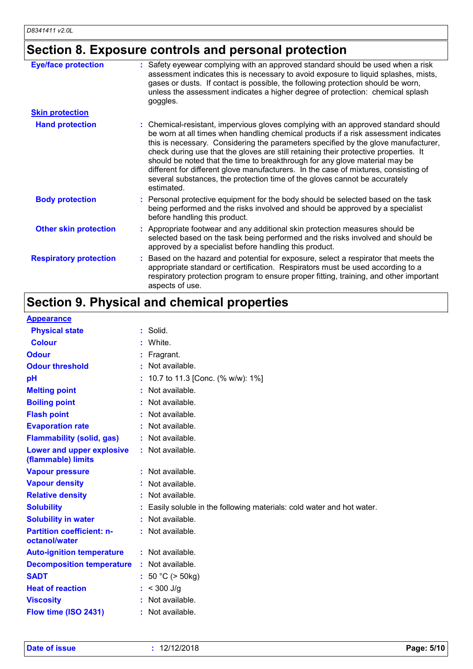# **Section 8. Exposure controls and personal protection**

| <b>Eye/face protection</b>    | Safety eyewear complying with an approved standard should be used when a risk<br>assessment indicates this is necessary to avoid exposure to liquid splashes, mists,<br>gases or dusts. If contact is possible, the following protection should be worn,<br>unless the assessment indicates a higher degree of protection: chemical splash<br>goggles.                                                                                                                                                                                                                                                                    |
|-------------------------------|---------------------------------------------------------------------------------------------------------------------------------------------------------------------------------------------------------------------------------------------------------------------------------------------------------------------------------------------------------------------------------------------------------------------------------------------------------------------------------------------------------------------------------------------------------------------------------------------------------------------------|
| <b>Skin protection</b>        |                                                                                                                                                                                                                                                                                                                                                                                                                                                                                                                                                                                                                           |
| <b>Hand protection</b>        | : Chemical-resistant, impervious gloves complying with an approved standard should<br>be worn at all times when handling chemical products if a risk assessment indicates<br>this is necessary. Considering the parameters specified by the glove manufacturer,<br>check during use that the gloves are still retaining their protective properties. It<br>should be noted that the time to breakthrough for any glove material may be<br>different for different glove manufacturers. In the case of mixtures, consisting of<br>several substances, the protection time of the gloves cannot be accurately<br>estimated. |
| <b>Body protection</b>        | Personal protective equipment for the body should be selected based on the task<br>being performed and the risks involved and should be approved by a specialist<br>before handling this product.                                                                                                                                                                                                                                                                                                                                                                                                                         |
| <b>Other skin protection</b>  | : Appropriate footwear and any additional skin protection measures should be<br>selected based on the task being performed and the risks involved and should be<br>approved by a specialist before handling this product.                                                                                                                                                                                                                                                                                                                                                                                                 |
| <b>Respiratory protection</b> | Based on the hazard and potential for exposure, select a respirator that meets the<br>appropriate standard or certification. Respirators must be used according to a<br>respiratory protection program to ensure proper fitting, training, and other important<br>aspects of use.                                                                                                                                                                                                                                                                                                                                         |

# **Section 9. Physical and chemical properties**

| $:$ Solid.                                                           |
|----------------------------------------------------------------------|
| White.                                                               |
| Fragrant.                                                            |
| : Not available.                                                     |
| 10.7 to 11.3 [Conc. (% w/w): 1%]                                     |
| : Not available.                                                     |
| Not available.                                                       |
| Not available.                                                       |
| : Not available.                                                     |
| : Not available.                                                     |
| : Not available.                                                     |
| $:$ Not available.                                                   |
| $:$ Not available.                                                   |
| : Not available.                                                     |
| Easily soluble in the following materials: cold water and hot water. |
| : Not available.                                                     |
| : Not available.                                                     |
| : Not available.                                                     |
| : Not available.                                                     |
| : $50 °C$ ( $> 50 kg$ )                                              |
| $: < 300$ J/g                                                        |
| Not available.                                                       |
| : Not available.                                                     |
|                                                                      |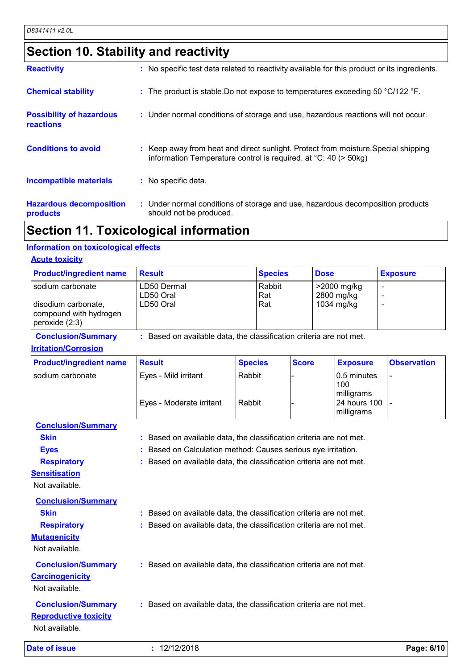# **Section 10. Stability and reactivity**

| <b>Reactivity</b>                            | : No specific test data related to reactivity available for this product or its ingredients.                                                                    |
|----------------------------------------------|-----------------------------------------------------------------------------------------------------------------------------------------------------------------|
| <b>Chemical stability</b>                    | : The product is stable. Do not expose to temperatures exceeding 50 °C/122 °F.                                                                                  |
| <b>Possibility of hazardous</b><br>reactions | : Under normal conditions of storage and use, hazardous reactions will not occur.                                                                               |
| <b>Conditions to avoid</b>                   | : Keep away from heat and direct sunlight. Protect from moisture. Special shipping<br>information Temperature control is required. at $^{\circ}$ C: 40 (> 50kg) |
| <b>Incompatible materials</b>                | : No specific data.                                                                                                                                             |
| <b>Hazardous decomposition</b><br>products   | : Under normal conditions of storage and use, hazardous decomposition products<br>should not be produced.                                                       |

# **Section 11. Toxicological information**

### **Information on toxicological effects**

#### **Acute toxicity**

| <b>Product/ingredient name</b>                                                          | <b>Result</b>                         | <b>Species</b>       | <b>Dose</b>                             | <b>Exposure</b> |
|-----------------------------------------------------------------------------------------|---------------------------------------|----------------------|-----------------------------------------|-----------------|
| I sodium carbonate<br>disodium carbonate,<br>compound with hydrogen<br>peroxide $(2:3)$ | LD50 Dermal<br>LD50 Oral<br>LD50 Oral | Rabbit<br>Rat<br>Rat | >2000 mg/kg<br>2800 mg/kg<br>1034 mg/kg |                 |

**Conclusion/Summary :** Based on available data, the classification criteria are not met.

**Irritation/Corrosion**

| <b>Product/ingredient name</b> | <b>Result</b>            | <b>Species</b> | <b>Score</b> | <b>Exposure</b>                     | <b>Observation</b> |
|--------------------------------|--------------------------|----------------|--------------|-------------------------------------|--------------------|
| sodium carbonate               | Eyes - Mild irritant     | Rabbit         |              | $ 0.5$ minutes<br>100<br>milligrams |                    |
|                                | Eyes - Moderate irritant | Rabbit         |              | 24 hours 100 -<br>milligrams        |                    |

| <b>Conclusion/Summary</b>    |                                                                     |
|------------------------------|---------------------------------------------------------------------|
| <b>Skin</b>                  | : Based on available data, the classification criteria are not met. |
| <b>Eyes</b>                  | : Based on Calculation method: Causes serious eye irritation.       |
| <b>Respiratory</b>           | : Based on available data, the classification criteria are not met. |
| <b>Sensitisation</b>         |                                                                     |
| Not available.               |                                                                     |
| <b>Conclusion/Summary</b>    |                                                                     |
| <b>Skin</b>                  | : Based on available data, the classification criteria are not met. |
| <b>Respiratory</b>           | : Based on available data, the classification criteria are not met. |
| <b>Mutagenicity</b>          |                                                                     |
| Not available.               |                                                                     |
| <b>Conclusion/Summary</b>    | : Based on available data, the classification criteria are not met. |
| <b>Carcinogenicity</b>       |                                                                     |
| Not available.               |                                                                     |
| <b>Conclusion/Summary</b>    | : Based on available data, the classification criteria are not met. |
| <b>Reproductive toxicity</b> |                                                                     |
| Not available.               |                                                                     |
|                              |                                                                     |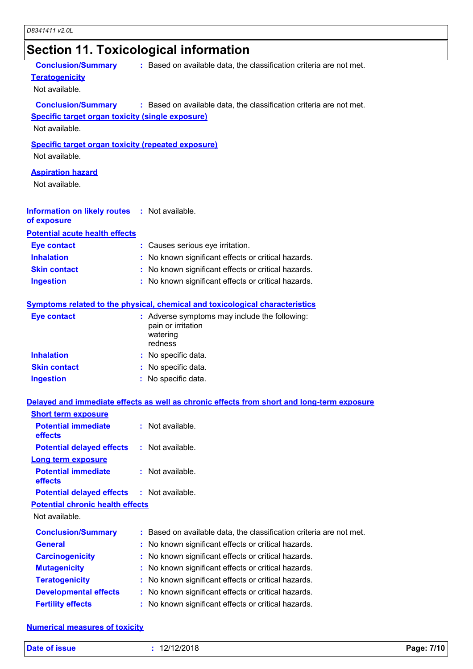# **Section 11. Toxicological information**

| <b>Conclusion/Summary</b>                                 | : Based on available data, the classification criteria are not met.                        |
|-----------------------------------------------------------|--------------------------------------------------------------------------------------------|
| <b>Teratogenicity</b>                                     |                                                                                            |
| Not available.                                            |                                                                                            |
| <b>Conclusion/Summary</b>                                 | : Based on available data, the classification criteria are not met.                        |
| <b>Specific target organ toxicity (single exposure)</b>   |                                                                                            |
| Not available.                                            |                                                                                            |
|                                                           |                                                                                            |
| <b>Specific target organ toxicity (repeated exposure)</b> |                                                                                            |
| Not available.                                            |                                                                                            |
| <b>Aspiration hazard</b>                                  |                                                                                            |
| Not available.                                            |                                                                                            |
|                                                           |                                                                                            |
| Information on likely routes : Not available.             |                                                                                            |
| of exposure                                               |                                                                                            |
| <b>Potential acute health effects</b>                     |                                                                                            |
| <b>Eye contact</b>                                        | : Causes serious eye irritation.                                                           |
| <b>Inhalation</b>                                         | No known significant effects or critical hazards.                                          |
| <b>Skin contact</b>                                       | : No known significant effects or critical hazards.                                        |
| <b>Ingestion</b>                                          | : No known significant effects or critical hazards.                                        |
|                                                           |                                                                                            |
|                                                           | <b>Symptoms related to the physical, chemical and toxicological characteristics</b>        |
| <b>Eye contact</b>                                        | : Adverse symptoms may include the following:                                              |
|                                                           | pain or irritation                                                                         |
|                                                           | watering                                                                                   |
|                                                           | redness                                                                                    |
| <b>Inhalation</b>                                         | : No specific data.                                                                        |
| <b>Skin contact</b>                                       | : No specific data.                                                                        |
| <b>Ingestion</b>                                          | : No specific data.                                                                        |
|                                                           | Delayed and immediate effects as well as chronic effects from short and long-term exposure |
| <b>Short term exposure</b>                                |                                                                                            |
| <b>Potential immediate</b>                                | : Not available.                                                                           |
| effects                                                   |                                                                                            |
| <b>Potential delayed effects</b>                          | : Not available.                                                                           |
| <b>Long term exposure</b>                                 |                                                                                            |
| <b>Potential immediate</b>                                | : Not available.                                                                           |
| effects                                                   |                                                                                            |
| <b>Potential delayed effects</b>                          | $:$ Not available.                                                                         |
| <b>Potential chronic health effects</b>                   |                                                                                            |
| Not available.                                            |                                                                                            |
| <b>Conclusion/Summary</b>                                 | : Based on available data, the classification criteria are not met.                        |
| <b>General</b>                                            | No known significant effects or critical hazards.<br>t                                     |
|                                                           |                                                                                            |
| <b>Carcinogenicity</b>                                    | No known significant effects or critical hazards.<br>t                                     |
| <b>Mutagenicity</b>                                       | No known significant effects or critical hazards.<br>t                                     |
| <b>Teratogenicity</b>                                     | No known significant effects or critical hazards.<br>t                                     |
| <b>Developmental effects</b>                              | No known significant effects or critical hazards.<br>÷                                     |
| <b>Fertility effects</b>                                  | No known significant effects or critical hazards.                                          |

### **Numerical measures of toxicity**

| Date of issue<br>12/12/2018 | Page: 7/10 |
|-----------------------------|------------|
|-----------------------------|------------|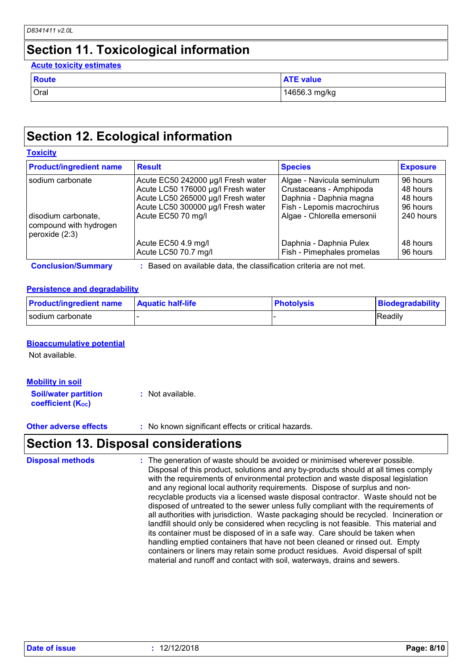# **Section 11. Toxicological information**

### **Acute toxicity estimates**

| Route       | <b>ATE value</b> |
|-------------|------------------|
| <b>Oral</b> | 14656.3 mg/kg    |

# **Section 12. Ecological information**

### **Toxicity**

| <b>Product/ingredient name</b>                                    | <b>Result</b>                      | <b>Species</b>              | <b>Exposure</b> |
|-------------------------------------------------------------------|------------------------------------|-----------------------------|-----------------|
| sodium carbonate                                                  | Acute EC50 242000 µg/l Fresh water | Algae - Navicula seminulum  | 96 hours        |
|                                                                   | Acute LC50 176000 µg/l Fresh water | Crustaceans - Amphipoda     | 48 hours        |
|                                                                   | Acute LC50 265000 µg/l Fresh water | Daphnia - Daphnia magna     | 48 hours        |
|                                                                   | Acute LC50 300000 µg/l Fresh water | Fish - Lepomis macrochirus  | 96 hours        |
| disodium carbonate,<br>compound with hydrogen<br>peroxide $(2:3)$ | Acute EC50 70 mg/l                 | Algae - Chlorella emersonii | 240 hours       |
|                                                                   | Acute EC50 4.9 mg/l                | Daphnia - Daphnia Pulex     | 48 hours        |
|                                                                   | Acute LC50 70.7 mg/l               | Fish - Pimephales promelas  | 96 hours        |

### **Persistence and degradability**

| <b>Product/ingredient name</b> | <b>Aquatic half-life</b> | <b>Photolysis</b> | Biodegradability |
|--------------------------------|--------------------------|-------------------|------------------|
| I sodium carbonate             |                          |                   | Readily          |

### **Bioaccumulative potential**

Not available.

| <b>Mobility in soil</b>                                 |                  |
|---------------------------------------------------------|------------------|
| <b>Soil/water partition</b><br><b>coefficient (Koc)</b> | : Not available. |

**Other adverse effects** : No known significant effects or critical hazards.

# **Section 13. Disposal considerations**

| <b>Disposal methods</b> | : The generation of waste should be avoided or minimised wherever possible.                                                                                            |
|-------------------------|------------------------------------------------------------------------------------------------------------------------------------------------------------------------|
|                         | Disposal of this product, solutions and any by-products should at all times comply<br>with the requirements of environmental protection and waste disposal legislation |
|                         | and any regional local authority requirements. Dispose of surplus and non-                                                                                             |
|                         | recyclable products via a licensed waste disposal contractor. Waste should not be                                                                                      |
|                         | disposed of untreated to the sewer unless fully compliant with the requirements of                                                                                     |
|                         | all authorities with jurisdiction. Waste packaging should be recycled. Incineration or                                                                                 |
|                         | landfill should only be considered when recycling is not feasible. This material and                                                                                   |
|                         | its container must be disposed of in a safe way. Care should be taken when                                                                                             |
|                         | handling emptied containers that have not been cleaned or rinsed out. Empty                                                                                            |
|                         | containers or liners may retain some product residues. Avoid dispersal of spilt                                                                                        |
|                         | material and runoff and contact with soil, waterways, drains and sewers.                                                                                               |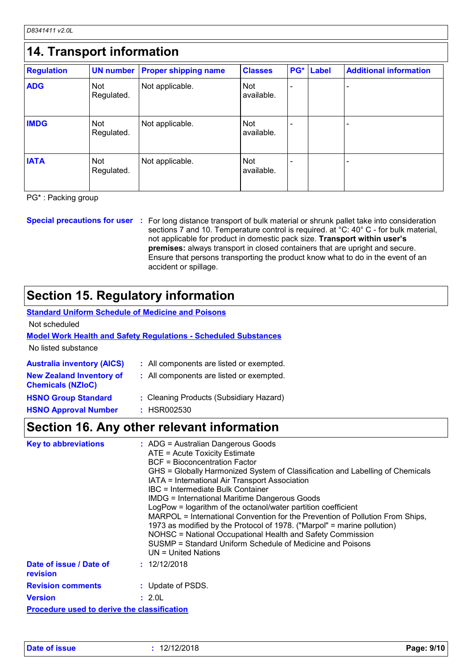*D8341411 v2.0L*

| <b>Regulation</b> | <b>UN number</b>         | <b>Proper shipping name</b> | <b>Classes</b>           | PG* | <b>Label</b> | <b>Additional information</b> |
|-------------------|--------------------------|-----------------------------|--------------------------|-----|--------------|-------------------------------|
| <b>ADG</b>        | Not<br>Regulated.        | Not applicable.             | <b>Not</b><br>available. |     |              |                               |
| <b>IMDG</b>       | Not<br>Regulated.        | Not applicable.             | <b>Not</b><br>available. |     |              |                               |
| <b>IATA</b>       | <b>Not</b><br>Regulated. | Not applicable.             | <b>Not</b><br>available. |     |              |                               |

PG\* : Packing group

**Special precautions for user** : For long distance transport of bulk material or shrunk pallet take into consideration sections 7 and 10. Temperature control is required. at °C: 40° C - for bulk material, not applicable for product in domestic pack size. **Transport within user's premises:** always transport in closed containers that are upright and secure. Ensure that persons transporting the product know what to do in the event of an accident or spillage.

# **Section 15. Regulatory information**

#### **Standard Uniform Schedule of Medicine and Poisons** Not scheduled

### **Model Work Health and Safety Regulations - Scheduled Substances**

No listed substance

| <b>Australia inventory (AICS)</b>                           | : All components are listed or exempted. |
|-------------------------------------------------------------|------------------------------------------|
| <b>New Zealand Inventory of</b><br><b>Chemicals (NZIoC)</b> | : All components are listed or exempted. |
| <b>HSNO Group Standard</b>                                  | : Cleaning Products (Subsidiary Hazard)  |
| <b>HSNO Approval Number</b>                                 | : HSR002530                              |

## **Section 16. Any other relevant information**

| <b>Key to abbreviations</b>                        | : ADG = Australian Dangerous Goods<br>ATE = Acute Toxicity Estimate<br><b>BCF</b> = Bioconcentration Factor<br>GHS = Globally Harmonized System of Classification and Labelling of Chemicals<br>IATA = International Air Transport Association<br>IBC = Intermediate Bulk Container<br><b>IMDG = International Maritime Dangerous Goods</b><br>LogPow = logarithm of the octanol/water partition coefficient<br>MARPOL = International Convention for the Prevention of Pollution From Ships,<br>1973 as modified by the Protocol of 1978. ("Marpol" = marine pollution)<br>NOHSC = National Occupational Health and Safety Commission<br>SUSMP = Standard Uniform Schedule of Medicine and Poisons<br>$UN = United Nations$ |
|----------------------------------------------------|------------------------------------------------------------------------------------------------------------------------------------------------------------------------------------------------------------------------------------------------------------------------------------------------------------------------------------------------------------------------------------------------------------------------------------------------------------------------------------------------------------------------------------------------------------------------------------------------------------------------------------------------------------------------------------------------------------------------------|
| Date of issue / Date of<br>revision                | : 12/12/2018                                                                                                                                                                                                                                                                                                                                                                                                                                                                                                                                                                                                                                                                                                                 |
| <b>Revision comments</b>                           | : Update of PSDS.                                                                                                                                                                                                                                                                                                                                                                                                                                                                                                                                                                                                                                                                                                            |
| <b>Version</b>                                     | : 2.0L                                                                                                                                                                                                                                                                                                                                                                                                                                                                                                                                                                                                                                                                                                                       |
| <b>Procedure used to derive the classification</b> |                                                                                                                                                                                                                                                                                                                                                                                                                                                                                                                                                                                                                                                                                                                              |